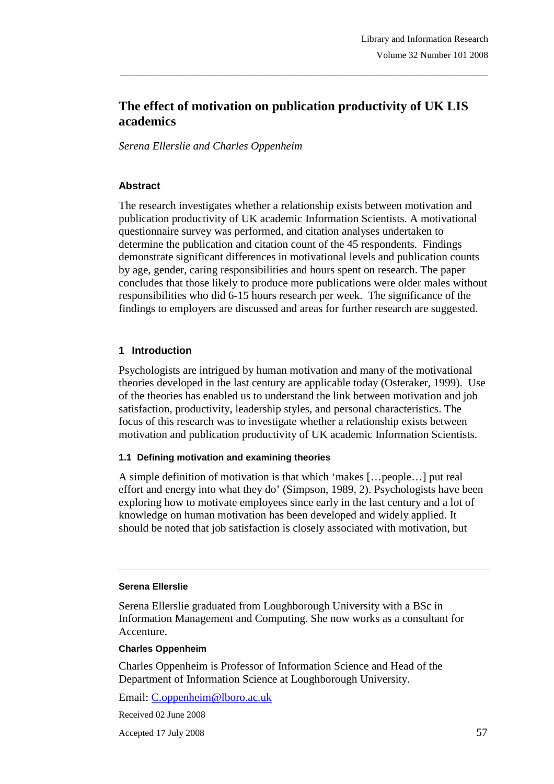# **The effect of motivation on publication productivity of UK LIS academics**

\_\_\_\_\_\_\_\_\_\_\_\_\_\_\_\_\_\_\_\_\_\_\_\_\_\_\_\_\_\_\_\_\_\_\_\_\_\_\_\_\_\_\_\_\_\_\_\_\_\_\_\_\_\_\_\_\_\_\_\_\_\_\_\_\_\_\_\_\_\_\_\_\_\_\_\_\_\_\_

*Serena Ellerslie and Charles Oppenheim* 

#### **Abstract**

The research investigates whether a relationship exists between motivation and publication productivity of UK academic Information Scientists. A motivational questionnaire survey was performed, and citation analyses undertaken to determine the publication and citation count of the 45 respondents. Findings demonstrate significant differences in motivational levels and publication counts by age, gender, caring responsibilities and hours spent on research. The paper concludes that those likely to produce more publications were older males without responsibilities who did 6-15 hours research per week. The significance of the findings to employers are discussed and areas for further research are suggested.

## **1 Introduction**

Psychologists are intrigued by human motivation and many of the motivational theories developed in the last century are applicable today (Osteraker, 1999). Use of the theories has enabled us to understand the link between motivation and job satisfaction, productivity, leadership styles, and personal characteristics. The focus of this research was to investigate whether a relationship exists between motivation and publication productivity of UK academic Information Scientists.

#### **1.1 Defining motivation and examining theories**

A simple definition of motivation is that which 'makes […people…] put real effort and energy into what they do' (Simpson, 1989, 2). Psychologists have been exploring how to motivate employees since early in the last century and a lot of knowledge on human motivation has been developed and widely applied. It should be noted that job satisfaction is closely associated with motivation, but

#### **Serena Ellerslie**

Serena Ellerslie graduated from Loughborough University with a BSc in Information Management and Computing. She now works as a consultant for Accenture.

#### **Charles Oppenheim**

Charles Oppenheim is Professor of Information Science and Head of the Department of Information Science at Loughborough University.

Email: C.oppenheim@lboro.ac.uk

Received 02 June 2008

Accepted 17 July 2008 57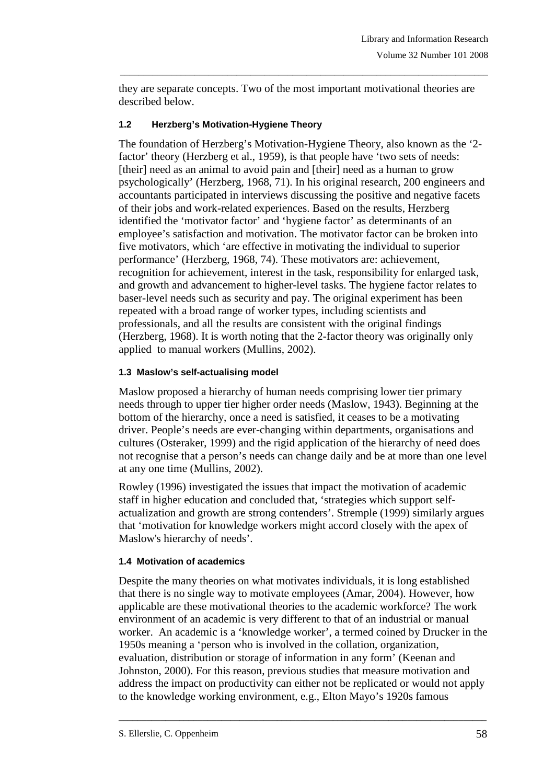they are separate concepts. Two of the most important motivational theories are described below.

\_\_\_\_\_\_\_\_\_\_\_\_\_\_\_\_\_\_\_\_\_\_\_\_\_\_\_\_\_\_\_\_\_\_\_\_\_\_\_\_\_\_\_\_\_\_\_\_\_\_\_\_\_\_\_\_\_\_\_\_\_\_\_\_\_\_\_\_\_\_\_\_\_\_\_\_\_\_\_

## **1.2 Herzberg's Motivation-Hygiene Theory**

The foundation of Herzberg's Motivation-Hygiene Theory, also known as the '2 factor' theory (Herzberg et al., 1959), is that people have 'two sets of needs: [their] need as an animal to avoid pain and [their] need as a human to grow psychologically' (Herzberg, 1968, 71). In his original research, 200 engineers and accountants participated in interviews discussing the positive and negative facets of their jobs and work-related experiences. Based on the results, Herzberg identified the 'motivator factor' and 'hygiene factor' as determinants of an employee's satisfaction and motivation. The motivator factor can be broken into five motivators, which 'are effective in motivating the individual to superior performance' (Herzberg, 1968, 74). These motivators are: achievement, recognition for achievement, interest in the task, responsibility for enlarged task, and growth and advancement to higher-level tasks. The hygiene factor relates to baser-level needs such as security and pay. The original experiment has been repeated with a broad range of worker types, including scientists and professionals, and all the results are consistent with the original findings (Herzberg, 1968). It is worth noting that the 2-factor theory was originally only applied to manual workers (Mullins, 2002).

## **1.3 Maslow's self-actualising model**

Maslow proposed a hierarchy of human needs comprising lower tier primary needs through to upper tier higher order needs (Maslow, 1943). Beginning at the bottom of the hierarchy, once a need is satisfied, it ceases to be a motivating driver. People's needs are ever-changing within departments, organisations and cultures (Osteraker, 1999) and the rigid application of the hierarchy of need does not recognise that a person's needs can change daily and be at more than one level at any one time (Mullins, 2002).

Rowley (1996) investigated the issues that impact the motivation of academic staff in higher education and concluded that, 'strategies which support selfactualization and growth are strong contenders'. Stremple (1999) similarly argues that 'motivation for knowledge workers might accord closely with the apex of Maslow's hierarchy of needs'.

## **1.4 Motivation of academics**

Despite the many theories on what motivates individuals, it is long established that there is no single way to motivate employees (Amar, 2004). However, how applicable are these motivational theories to the academic workforce? The work environment of an academic is very different to that of an industrial or manual worker. An academic is a 'knowledge worker', a termed coined by Drucker in the 1950s meaning a 'person who is involved in the collation, organization, evaluation, distribution or storage of information in any form' (Keenan and Johnston, 2000). For this reason, previous studies that measure motivation and address the impact on productivity can either not be replicated or would not apply to the knowledge working environment, e.g., Elton Mayo's 1920s famous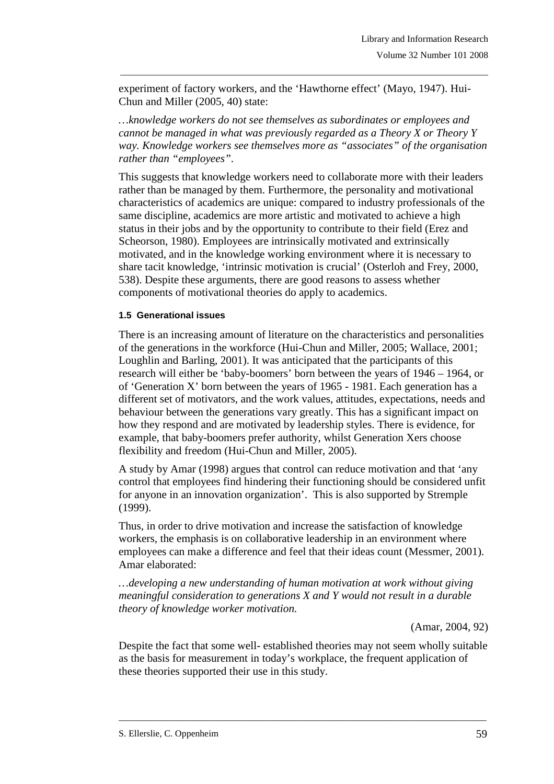experiment of factory workers, and the 'Hawthorne effect' (Mayo, 1947). Hui-Chun and Miller (2005, 40) state:

*…knowledge workers do not see themselves as subordinates or employees and cannot be managed in what was previously regarded as a Theory X or Theory Y way. Knowledge workers see themselves more as "associates" of the organisation rather than "employees".* 

\_\_\_\_\_\_\_\_\_\_\_\_\_\_\_\_\_\_\_\_\_\_\_\_\_\_\_\_\_\_\_\_\_\_\_\_\_\_\_\_\_\_\_\_\_\_\_\_\_\_\_\_\_\_\_\_\_\_\_\_\_\_\_\_\_\_\_\_\_\_\_\_\_\_\_\_\_\_\_

This suggests that knowledge workers need to collaborate more with their leaders rather than be managed by them. Furthermore, the personality and motivational characteristics of academics are unique: compared to industry professionals of the same discipline, academics are more artistic and motivated to achieve a high status in their jobs and by the opportunity to contribute to their field (Erez and Scheorson, 1980). Employees are intrinsically motivated and extrinsically motivated, and in the knowledge working environment where it is necessary to share tacit knowledge, 'intrinsic motivation is crucial' (Osterloh and Frey, 2000, 538). Despite these arguments, there are good reasons to assess whether components of motivational theories do apply to academics.

#### **1.5 Generational issues**

There is an increasing amount of literature on the characteristics and personalities of the generations in the workforce (Hui-Chun and Miller, 2005; Wallace, 2001; Loughlin and Barling, 2001). It was anticipated that the participants of this research will either be 'baby-boomers' born between the years of 1946 – 1964, or of 'Generation X' born between the years of 1965 - 1981. Each generation has a different set of motivators, and the work values, attitudes, expectations, needs and behaviour between the generations vary greatly. This has a significant impact on how they respond and are motivated by leadership styles. There is evidence, for example, that baby-boomers prefer authority, whilst Generation Xers choose flexibility and freedom (Hui-Chun and Miller, 2005).

A study by Amar (1998) argues that control can reduce motivation and that 'any control that employees find hindering their functioning should be considered unfit for anyone in an innovation organization'. This is also supported by Stremple (1999).

Thus, in order to drive motivation and increase the satisfaction of knowledge workers, the emphasis is on collaborative leadership in an environment where employees can make a difference and feel that their ideas count (Messmer, 2001). Amar elaborated:

*…developing a new understanding of human motivation at work without giving meaningful consideration to generations X and Y would not result in a durable theory of knowledge worker motivation.*

(Amar, 2004, 92)

Despite the fact that some well- established theories may not seem wholly suitable as the basis for measurement in today's workplace, the frequent application of these theories supported their use in this study.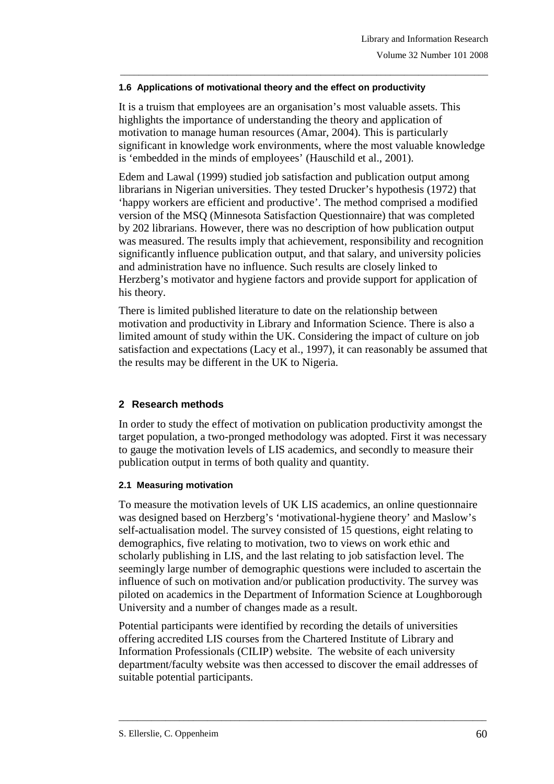#### **1.6 Applications of motivational theory and the effect on productivity**

It is a truism that employees are an organisation's most valuable assets. This highlights the importance of understanding the theory and application of motivation to manage human resources (Amar, 2004). This is particularly significant in knowledge work environments, where the most valuable knowledge is 'embedded in the minds of employees' (Hauschild et al., 2001).

\_\_\_\_\_\_\_\_\_\_\_\_\_\_\_\_\_\_\_\_\_\_\_\_\_\_\_\_\_\_\_\_\_\_\_\_\_\_\_\_\_\_\_\_\_\_\_\_\_\_\_\_\_\_\_\_\_\_\_\_\_\_\_\_\_\_\_\_\_\_\_\_\_\_\_\_\_\_\_

Edem and Lawal (1999) studied job satisfaction and publication output among librarians in Nigerian universities. They tested Drucker's hypothesis (1972) that 'happy workers are efficient and productive'. The method comprised a modified version of the MSQ (Minnesota Satisfaction Questionnaire) that was completed by 202 librarians. However, there was no description of how publication output was measured. The results imply that achievement, responsibility and recognition significantly influence publication output, and that salary, and university policies and administration have no influence. Such results are closely linked to Herzberg's motivator and hygiene factors and provide support for application of his theory.

There is limited published literature to date on the relationship between motivation and productivity in Library and Information Science. There is also a limited amount of study within the UK. Considering the impact of culture on job satisfaction and expectations (Lacy et al., 1997), it can reasonably be assumed that the results may be different in the UK to Nigeria.

## **2 Research methods**

In order to study the effect of motivation on publication productivity amongst the target population, a two-pronged methodology was adopted. First it was necessary to gauge the motivation levels of LIS academics, and secondly to measure their publication output in terms of both quality and quantity.

## **2.1 Measuring motivation**

To measure the motivation levels of UK LIS academics, an online questionnaire was designed based on Herzberg's 'motivational-hygiene theory' and Maslow's self-actualisation model. The survey consisted of 15 questions, eight relating to demographics, five relating to motivation, two to views on work ethic and scholarly publishing in LIS, and the last relating to job satisfaction level. The seemingly large number of demographic questions were included to ascertain the influence of such on motivation and/or publication productivity. The survey was piloted on academics in the Department of Information Science at Loughborough University and a number of changes made as a result.

Potential participants were identified by recording the details of universities offering accredited LIS courses from the Chartered Institute of Library and Information Professionals (CILIP) website. The website of each university department/faculty website was then accessed to discover the email addresses of suitable potential participants.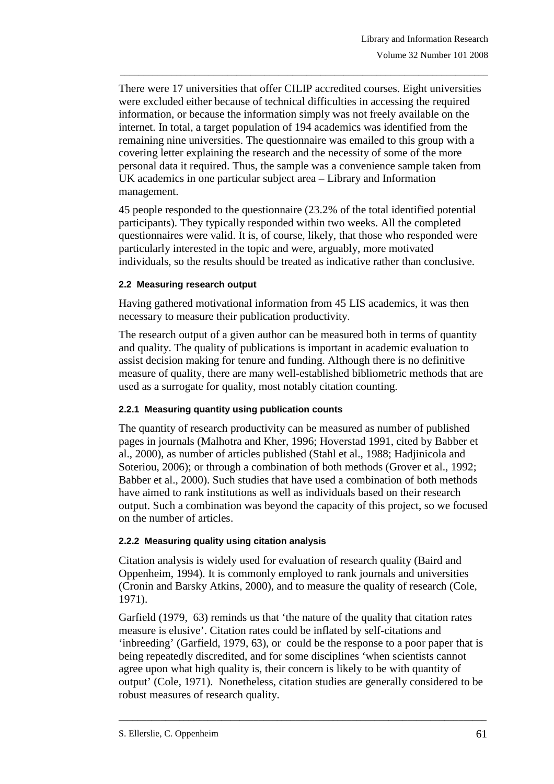There were 17 universities that offer CILIP accredited courses. Eight universities were excluded either because of technical difficulties in accessing the required information, or because the information simply was not freely available on the internet. In total, a target population of 194 academics was identified from the remaining nine universities. The questionnaire was emailed to this group with a covering letter explaining the research and the necessity of some of the more personal data it required. Thus, the sample was a convenience sample taken from UK academics in one particular subject area – Library and Information management.

\_\_\_\_\_\_\_\_\_\_\_\_\_\_\_\_\_\_\_\_\_\_\_\_\_\_\_\_\_\_\_\_\_\_\_\_\_\_\_\_\_\_\_\_\_\_\_\_\_\_\_\_\_\_\_\_\_\_\_\_\_\_\_\_\_\_\_\_\_\_\_\_\_\_\_\_\_\_\_

45 people responded to the questionnaire (23.2% of the total identified potential participants). They typically responded within two weeks. All the completed questionnaires were valid. It is, of course, likely, that those who responded were particularly interested in the topic and were, arguably, more motivated individuals, so the results should be treated as indicative rather than conclusive.

## **2.2 Measuring research output**

Having gathered motivational information from 45 LIS academics, it was then necessary to measure their publication productivity.

The research output of a given author can be measured both in terms of quantity and quality. The quality of publications is important in academic evaluation to assist decision making for tenure and funding. Although there is no definitive measure of quality, there are many well-established bibliometric methods that are used as a surrogate for quality, most notably citation counting.

## **2.2.1 Measuring quantity using publication counts**

The quantity of research productivity can be measured as number of published pages in journals (Malhotra and Kher, 1996; Hoverstad 1991, cited by Babber et al., 2000), as number of articles published (Stahl et al., 1988; Hadjinicola and Soteriou, 2006); or through a combination of both methods (Grover et al., 1992; Babber et al., 2000). Such studies that have used a combination of both methods have aimed to rank institutions as well as individuals based on their research output. Such a combination was beyond the capacity of this project, so we focused on the number of articles.

# **2.2.2 Measuring quality using citation analysis**

Citation analysis is widely used for evaluation of research quality (Baird and Oppenheim, 1994). It is commonly employed to rank journals and universities (Cronin and Barsky Atkins, 2000), and to measure the quality of research (Cole, 1971).

Garfield (1979, 63) reminds us that 'the nature of the quality that citation rates measure is elusive'. Citation rates could be inflated by self-citations and 'inbreeding' (Garfield, 1979, 63), or could be the response to a poor paper that is being repeatedly discredited, and for some disciplines 'when scientists cannot agree upon what high quality is, their concern is likely to be with quantity of output' (Cole, 1971). Nonetheless, citation studies are generally considered to be robust measures of research quality.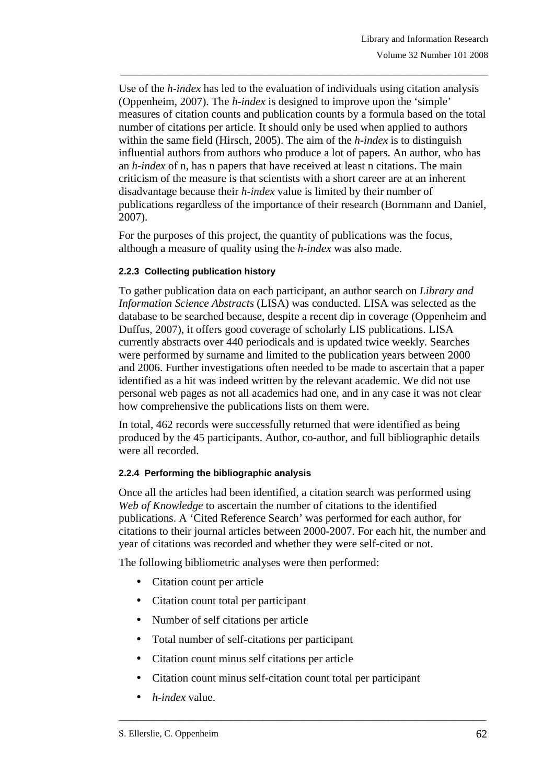Use of the *h-index* has led to the evaluation of individuals using citation analysis (Oppenheim, 2007). The *h-index* is designed to improve upon the 'simple' measures of citation counts and publication counts by a formula based on the total number of citations per article. It should only be used when applied to authors within the same field (Hirsch, 2005). The aim of the *h-index* is to distinguish influential authors from authors who produce a lot of papers. An author, who has an *h-index* of n, has n papers that have received at least n citations. The main criticism of the measure is that scientists with a short career are at an inherent disadvantage because their *h-index* value is limited by their number of publications regardless of the importance of their research (Bornmann and Daniel, 2007).

\_\_\_\_\_\_\_\_\_\_\_\_\_\_\_\_\_\_\_\_\_\_\_\_\_\_\_\_\_\_\_\_\_\_\_\_\_\_\_\_\_\_\_\_\_\_\_\_\_\_\_\_\_\_\_\_\_\_\_\_\_\_\_\_\_\_\_\_\_\_\_\_\_\_\_\_\_\_\_

For the purposes of this project, the quantity of publications was the focus, although a measure of quality using the *h-index* was also made.

#### **2.2.3 Collecting publication history**

To gather publication data on each participant, an author search on *Library and Information Science Abstracts* (LISA) was conducted. LISA was selected as the database to be searched because, despite a recent dip in coverage (Oppenheim and Duffus, 2007), it offers good coverage of scholarly LIS publications. LISA currently abstracts over 440 periodicals and is updated twice weekly. Searches were performed by surname and limited to the publication years between 2000 and 2006. Further investigations often needed to be made to ascertain that a paper identified as a hit was indeed written by the relevant academic. We did not use personal web pages as not all academics had one, and in any case it was not clear how comprehensive the publications lists on them were.

In total, 462 records were successfully returned that were identified as being produced by the 45 participants. Author, co-author, and full bibliographic details were all recorded.

#### **2.2.4 Performing the bibliographic analysis**

Once all the articles had been identified, a citation search was performed using *Web of Knowledge* to ascertain the number of citations to the identified publications. A 'Cited Reference Search' was performed for each author, for citations to their journal articles between 2000-2007. For each hit, the number and year of citations was recorded and whether they were self-cited or not.

The following bibliometric analyses were then performed:

- Citation count per article
- Citation count total per participant
- Number of self citations per article
- Total number of self-citations per participant
- Citation count minus self citations per article
- Citation count minus self-citation count total per participant

\_\_\_\_\_\_\_\_\_\_\_\_\_\_\_\_\_\_\_\_\_\_\_\_\_\_\_\_\_\_\_\_\_\_\_\_\_\_\_\_\_\_\_\_\_\_\_\_\_\_\_\_\_\_\_\_\_\_\_\_\_\_\_\_\_\_\_\_\_\_\_\_\_\_\_\_\_\_\_

• *h-index* value.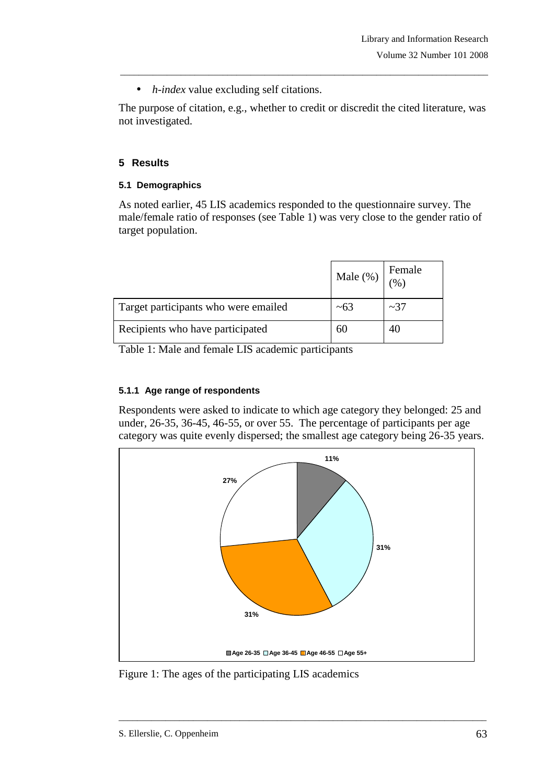• *h-index* value excluding self citations.

The purpose of citation, e.g., whether to credit or discredit the cited literature, was not investigated.

\_\_\_\_\_\_\_\_\_\_\_\_\_\_\_\_\_\_\_\_\_\_\_\_\_\_\_\_\_\_\_\_\_\_\_\_\_\_\_\_\_\_\_\_\_\_\_\_\_\_\_\_\_\_\_\_\_\_\_\_\_\_\_\_\_\_\_\_\_\_\_\_\_\_\_\_\_\_\_

# **5 Results**

## **5.1 Demographics**

As noted earlier, 45 LIS academics responded to the questionnaire survey. The male/female ratio of responses (see Table 1) was very close to the gender ratio of target population.

|                                      | Male (%)   | Female<br>$\gamma$ <sub>0</sub> |
|--------------------------------------|------------|---------------------------------|
| Target participants who were emailed | $~10^{-6}$ | $\sim$ 37                       |
| Recipients who have participated     | hU         |                                 |

Table 1: Male and female LIS academic participants

## **5.1.1 Age range of respondents**

Respondents were asked to indicate to which age category they belonged: 25 and under, 26-35, 36-45, 46-55, or over 55. The percentage of participants per age category was quite evenly dispersed; the smallest age category being 26-35 years.



Figure 1: The ages of the participating LIS academics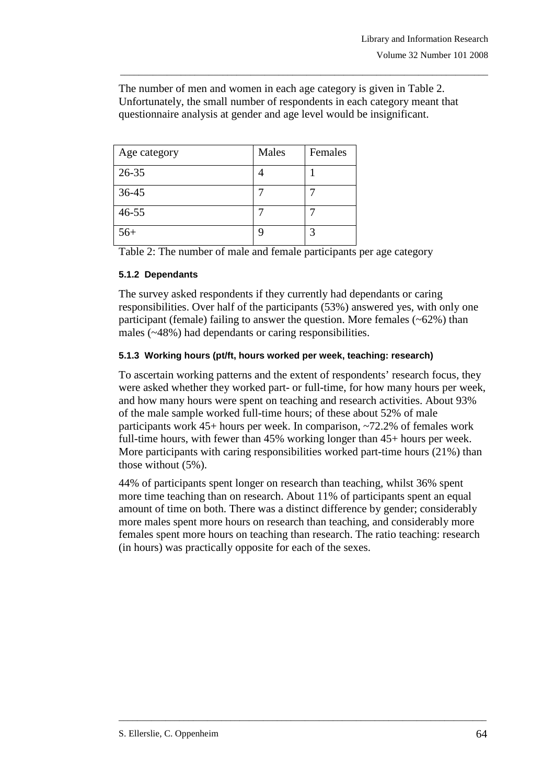The number of men and women in each age category is given in Table 2. Unfortunately, the small number of respondents in each category meant that questionnaire analysis at gender and age level would be insignificant.

\_\_\_\_\_\_\_\_\_\_\_\_\_\_\_\_\_\_\_\_\_\_\_\_\_\_\_\_\_\_\_\_\_\_\_\_\_\_\_\_\_\_\_\_\_\_\_\_\_\_\_\_\_\_\_\_\_\_\_\_\_\_\_\_\_\_\_\_\_\_\_\_\_\_\_\_\_\_\_

| Age category | Males | Females |
|--------------|-------|---------|
| $26 - 35$    |       |         |
| 36-45        |       |         |
| $46 - 55$    |       |         |
| $56+$        |       |         |

Table 2: The number of male and female participants per age category

#### **5.1.2 Dependants**

The survey asked respondents if they currently had dependants or caring responsibilities. Over half of the participants (53%) answered yes, with only one participant (female) failing to answer the question. More females  $(-62%)$  than males (~48%) had dependants or caring responsibilities.

## **5.1.3 Working hours (pt/ft, hours worked per week, teaching: research)**

To ascertain working patterns and the extent of respondents' research focus, they were asked whether they worked part- or full-time, for how many hours per week, and how many hours were spent on teaching and research activities. About 93% of the male sample worked full-time hours; of these about 52% of male participants work 45+ hours per week. In comparison, ~72.2% of females work full-time hours, with fewer than 45% working longer than 45+ hours per week. More participants with caring responsibilities worked part-time hours (21%) than those without (5%).

44% of participants spent longer on research than teaching, whilst 36% spent more time teaching than on research. About 11% of participants spent an equal amount of time on both. There was a distinct difference by gender; considerably more males spent more hours on research than teaching, and considerably more females spent more hours on teaching than research. The ratio teaching: research (in hours) was practically opposite for each of the sexes.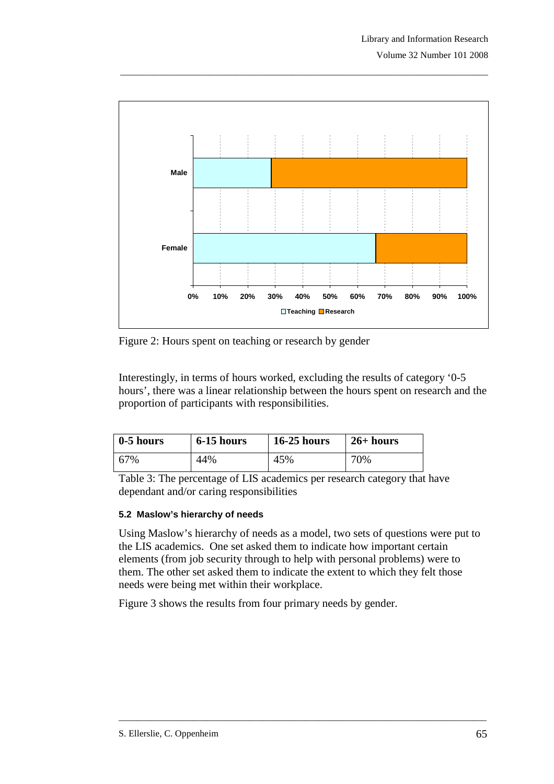

Figure 2: Hours spent on teaching or research by gender

Interestingly, in terms of hours worked, excluding the results of category '0-5 hours', there was a linear relationship between the hours spent on research and the proportion of participants with responsibilities.

| 0-5 hours | 6-15 hours | $16-25$ hours | $26+ hours$ |
|-----------|------------|---------------|-------------|
| 67%       | 44%        | 45%           | 70%         |

Table 3: The percentage of LIS academics per research category that have dependant and/or caring responsibilities

#### **5.2 Maslow's hierarchy of needs**

Using Maslow's hierarchy of needs as a model, two sets of questions were put to the LIS academics. One set asked them to indicate how important certain elements (from job security through to help with personal problems) were to them. The other set asked them to indicate the extent to which they felt those needs were being met within their workplace.

\_\_\_\_\_\_\_\_\_\_\_\_\_\_\_\_\_\_\_\_\_\_\_\_\_\_\_\_\_\_\_\_\_\_\_\_\_\_\_\_\_\_\_\_\_\_\_\_\_\_\_\_\_\_\_\_\_\_\_\_\_\_\_\_\_\_\_\_\_\_\_\_\_\_\_\_\_\_\_

Figure 3 shows the results from four primary needs by gender.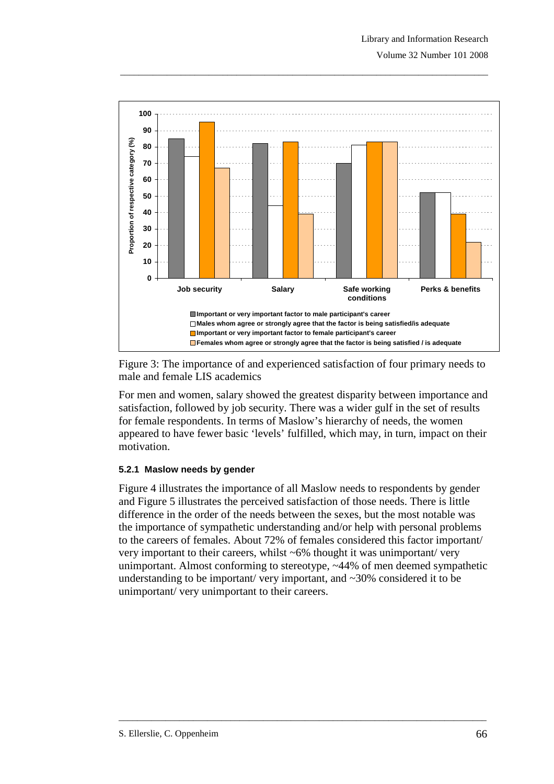



For men and women, salary showed the greatest disparity between importance and satisfaction, followed by job security. There was a wider gulf in the set of results for female respondents. In terms of Maslow's hierarchy of needs, the women appeared to have fewer basic 'levels' fulfilled, which may, in turn, impact on their motivation.

## **5.2.1 Maslow needs by gender**

Figure 4 illustrates the importance of all Maslow needs to respondents by gender and Figure 5 illustrates the perceived satisfaction of those needs. There is little difference in the order of the needs between the sexes, but the most notable was the importance of sympathetic understanding and/or help with personal problems to the careers of females. About 72% of females considered this factor important/ very important to their careers, whilst ~6% thought it was unimportant/ very unimportant. Almost conforming to stereotype, ~44% of men deemed sympathetic understanding to be important/ very important, and  $\sim$ 30% considered it to be unimportant/ very unimportant to their careers.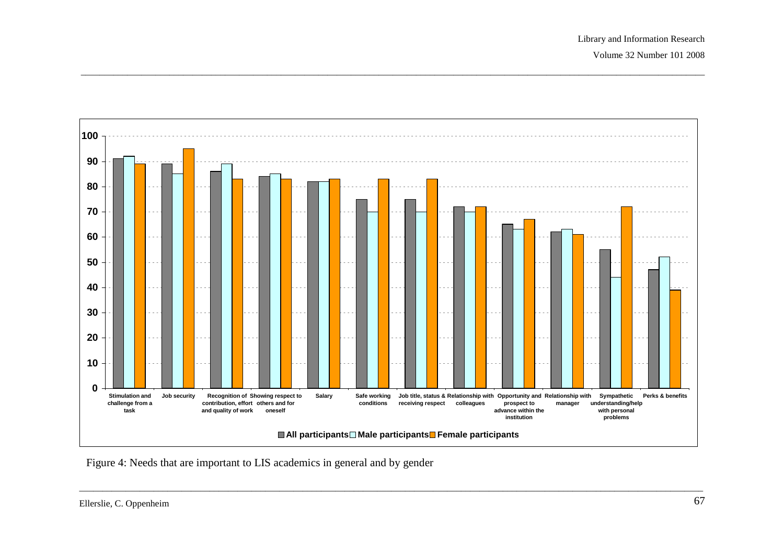

Figure 4: Needs that are important to LIS academics in general and by gender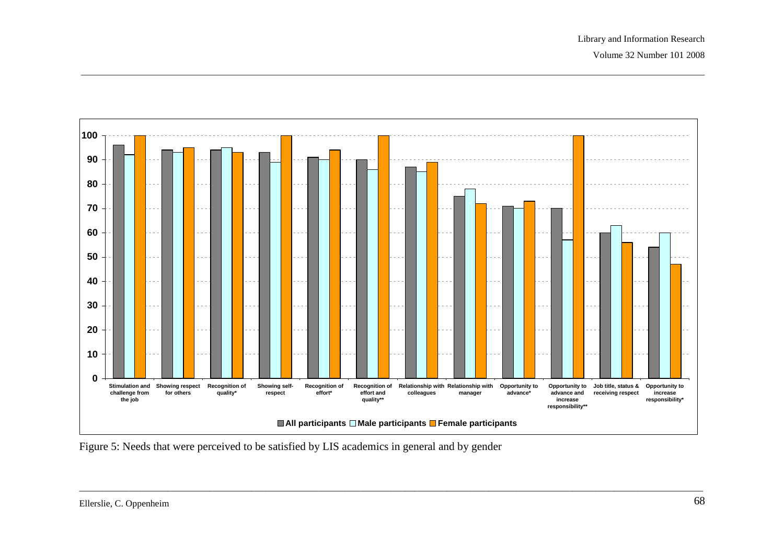

Figure 5: Needs that were perceived to be satisfied by LIS academics in general and by gender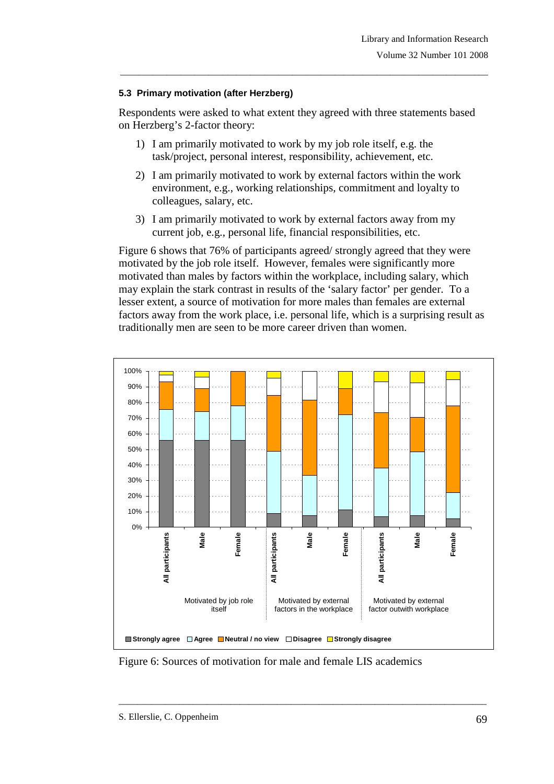#### **5.3 Primary motivation (after Herzberg)**

Respondents were asked to what extent they agreed with three statements based on Herzberg's 2-factor theory:

\_\_\_\_\_\_\_\_\_\_\_\_\_\_\_\_\_\_\_\_\_\_\_\_\_\_\_\_\_\_\_\_\_\_\_\_\_\_\_\_\_\_\_\_\_\_\_\_\_\_\_\_\_\_\_\_\_\_\_\_\_\_\_\_\_\_\_\_\_\_\_\_\_\_\_\_\_\_\_

- 1) I am primarily motivated to work by my job role itself, e.g. the task/project, personal interest, responsibility, achievement, etc.
- 2) I am primarily motivated to work by external factors within the work environment, e.g., working relationships, commitment and loyalty to colleagues, salary, etc.
- 3) I am primarily motivated to work by external factors away from my current job, e.g., personal life, financial responsibilities, etc.

Figure 6 shows that 76% of participants agreed/ strongly agreed that they were motivated by the job role itself. However, females were significantly more motivated than males by factors within the workplace, including salary, which may explain the stark contrast in results of the 'salary factor' per gender. To a lesser extent, a source of motivation for more males than females are external factors away from the work place, i.e. personal life, which is a surprising result as traditionally men are seen to be more career driven than women.



Figure 6: Sources of motivation for male and female LIS academics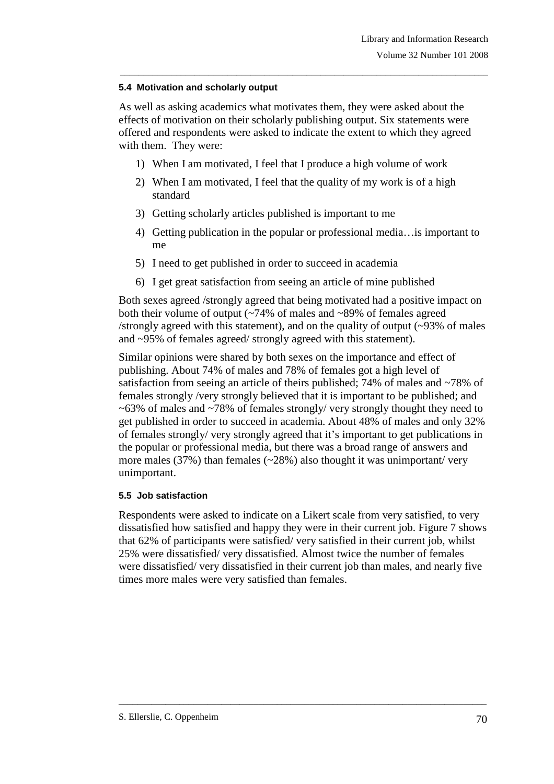## **5.4 Motivation and scholarly output**

As well as asking academics what motivates them, they were asked about the effects of motivation on their scholarly publishing output. Six statements were offered and respondents were asked to indicate the extent to which they agreed with them. They were:

\_\_\_\_\_\_\_\_\_\_\_\_\_\_\_\_\_\_\_\_\_\_\_\_\_\_\_\_\_\_\_\_\_\_\_\_\_\_\_\_\_\_\_\_\_\_\_\_\_\_\_\_\_\_\_\_\_\_\_\_\_\_\_\_\_\_\_\_\_\_\_\_\_\_\_\_\_\_\_

- 1) When I am motivated, I feel that I produce a high volume of work
- 2) When I am motivated, I feel that the quality of my work is of a high standard
- 3) Getting scholarly articles published is important to me
- 4) Getting publication in the popular or professional media…is important to me
- 5) I need to get published in order to succeed in academia
- 6) I get great satisfaction from seeing an article of mine published

Both sexes agreed /strongly agreed that being motivated had a positive impact on both their volume of output (~74% of males and ~89% of females agreed /strongly agreed with this statement), and on the quality of output (~93% of males and ~95% of females agreed/ strongly agreed with this statement).

Similar opinions were shared by both sexes on the importance and effect of publishing. About 74% of males and 78% of females got a high level of satisfaction from seeing an article of theirs published; 74% of males and ~78% of females strongly /very strongly believed that it is important to be published; and ~63% of males and ~78% of females strongly/ very strongly thought they need to get published in order to succeed in academia. About 48% of males and only 32% of females strongly/ very strongly agreed that it's important to get publications in the popular or professional media, but there was a broad range of answers and more males (37%) than females ( $\sim$ 28%) also thought it was unimportant/ very unimportant.

## **5.5 Job satisfaction**

Respondents were asked to indicate on a Likert scale from very satisfied, to very dissatisfied how satisfied and happy they were in their current job. Figure 7 shows that 62% of participants were satisfied/ very satisfied in their current job, whilst 25% were dissatisfied/ very dissatisfied. Almost twice the number of females were dissatisfied/ very dissatisfied in their current job than males, and nearly five times more males were very satisfied than females.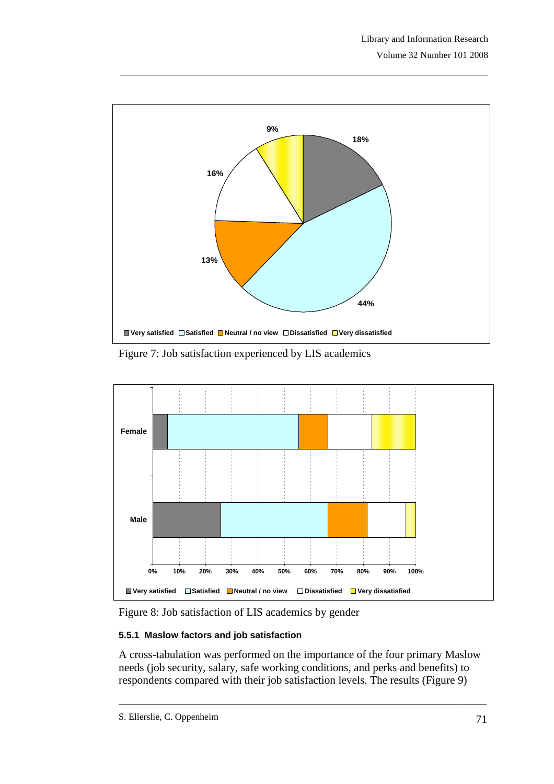

Figure 7: Job satisfaction experienced by LIS academics



Figure 8: Job satisfaction of LIS academics by gender

# **5.5.1 Maslow factors and job satisfaction**

A cross-tabulation was performed on the importance of the four primary Maslow needs (job security, salary, safe working conditions, and perks and benefits) to respondents compared with their job satisfaction levels. The results (Figure 9)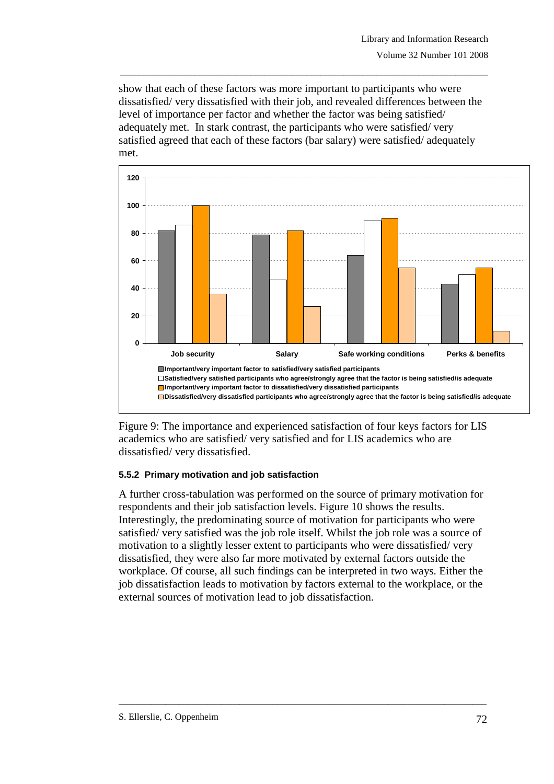show that each of these factors was more important to participants who were dissatisfied/ very dissatisfied with their job, and revealed differences between the level of importance per factor and whether the factor was being satisfied/ adequately met. In stark contrast, the participants who were satisfied/ very satisfied agreed that each of these factors (bar salary) were satisfied/ adequately met.

\_\_\_\_\_\_\_\_\_\_\_\_\_\_\_\_\_\_\_\_\_\_\_\_\_\_\_\_\_\_\_\_\_\_\_\_\_\_\_\_\_\_\_\_\_\_\_\_\_\_\_\_\_\_\_\_\_\_\_\_\_\_\_\_\_\_\_\_\_\_\_\_\_\_\_\_\_\_\_



Figure 9: The importance and experienced satisfaction of four keys factors for LIS academics who are satisfied/ very satisfied and for LIS academics who are dissatisfied/ very dissatisfied.

#### **5.5.2 Primary motivation and job satisfaction**

A further cross-tabulation was performed on the source of primary motivation for respondents and their job satisfaction levels. Figure 10 shows the results. Interestingly, the predominating source of motivation for participants who were satisfied/ very satisfied was the job role itself. Whilst the job role was a source of motivation to a slightly lesser extent to participants who were dissatisfied/ very dissatisfied, they were also far more motivated by external factors outside the workplace. Of course, all such findings can be interpreted in two ways. Either the job dissatisfaction leads to motivation by factors external to the workplace, or the external sources of motivation lead to job dissatisfaction.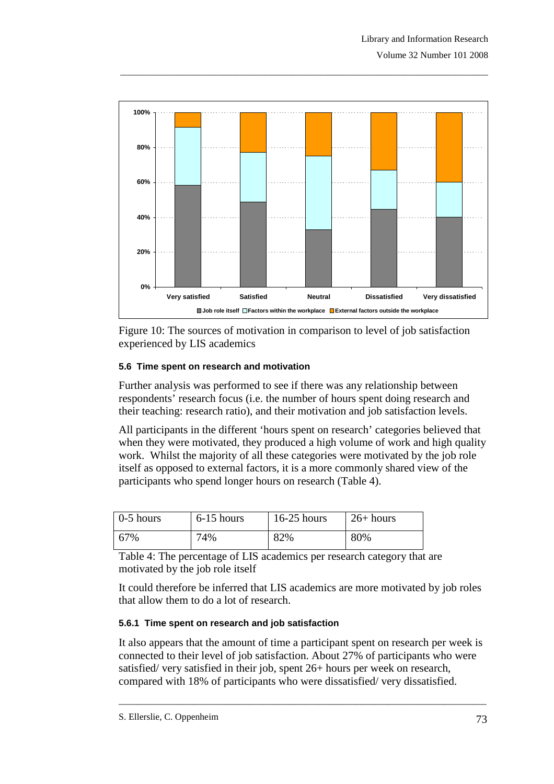

Figure 10: The sources of motivation in comparison to level of job satisfaction experienced by LIS academics

## **5.6 Time spent on research and motivation**

Further analysis was performed to see if there was any relationship between respondents' research focus (i.e. the number of hours spent doing research and their teaching: research ratio), and their motivation and job satisfaction levels.

All participants in the different 'hours spent on research' categories believed that when they were motivated, they produced a high volume of work and high quality work. Whilst the majority of all these categories were motivated by the job role itself as opposed to external factors, it is a more commonly shared view of the participants who spend longer hours on research (Table 4).

| $\vert$ 0-5 hours | $6-15$ hours | $16-25$ hours | $\frac{1}{26}$ hours |
|-------------------|--------------|---------------|----------------------|
| 67%               | 74%          | 82%           | 80%                  |

Table 4: The percentage of LIS academics per research category that are motivated by the job role itself

It could therefore be inferred that LIS academics are more motivated by job roles that allow them to do a lot of research.

#### **5.6.1 Time spent on research and job satisfaction**

It also appears that the amount of time a participant spent on research per week is connected to their level of job satisfaction. About 27% of participants who were satisfied/ very satisfied in their job, spent 26+ hours per week on research, compared with 18% of participants who were dissatisfied/ very dissatisfied.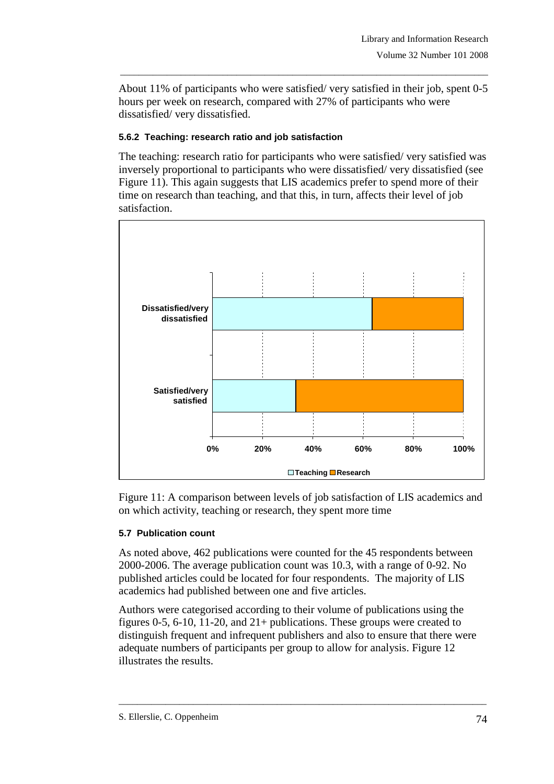About 11% of participants who were satisfied/ very satisfied in their job, spent 0-5 hours per week on research, compared with 27% of participants who were dissatisfied/ very dissatisfied.

\_\_\_\_\_\_\_\_\_\_\_\_\_\_\_\_\_\_\_\_\_\_\_\_\_\_\_\_\_\_\_\_\_\_\_\_\_\_\_\_\_\_\_\_\_\_\_\_\_\_\_\_\_\_\_\_\_\_\_\_\_\_\_\_\_\_\_\_\_\_\_\_\_\_\_\_\_\_\_

#### **5.6.2 Teaching: research ratio and job satisfaction**

The teaching: research ratio for participants who were satisfied/ very satisfied was inversely proportional to participants who were dissatisfied/ very dissatisfied (see Figure 11). This again suggests that LIS academics prefer to spend more of their time on research than teaching, and that this, in turn, affects their level of job satisfaction.



Figure 11: A comparison between levels of job satisfaction of LIS academics and on which activity, teaching or research, they spent more time

## **5.7 Publication count**

As noted above, 462 publications were counted for the 45 respondents between 2000-2006. The average publication count was 10.3, with a range of 0-92. No published articles could be located for four respondents. The majority of LIS academics had published between one and five articles.

Authors were categorised according to their volume of publications using the figures 0-5, 6-10, 11-20, and 21+ publications. These groups were created to distinguish frequent and infrequent publishers and also to ensure that there were adequate numbers of participants per group to allow for analysis. Figure 12 illustrates the results.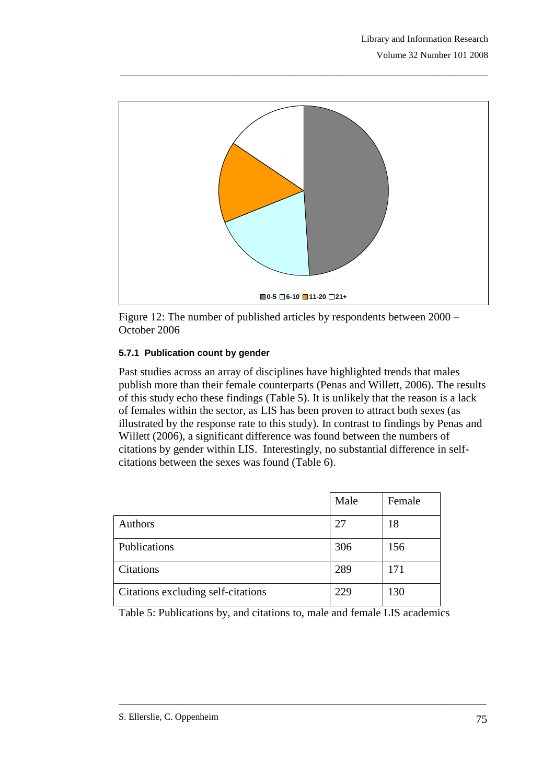

Figure 12: The number of published articles by respondents between 2000 – October 2006

## **5.7.1 Publication count by gender**

Past studies across an array of disciplines have highlighted trends that males publish more than their female counterparts (Penas and Willett, 2006). The results of this study echo these findings (Table 5). It is unlikely that the reason is a lack of females within the sector, as LIS has been proven to attract both sexes (as illustrated by the response rate to this study). In contrast to findings by Penas and Willett (2006), a significant difference was found between the numbers of citations by gender within LIS. Interestingly, no substantial difference in selfcitations between the sexes was found (Table 6).

|                                    | Male | Female |
|------------------------------------|------|--------|
| Authors                            | 27   | 18     |
| Publications                       | 306  | 156    |
| Citations                          | 289  | 171    |
| Citations excluding self-citations | 229  | 130    |

Table 5: Publications by, and citations to, male and female LIS academics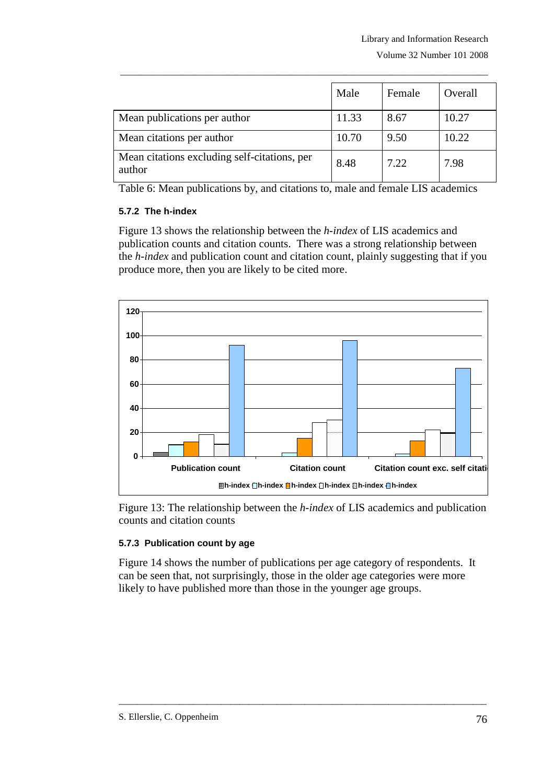|                                                        | Male  | Female | Overall |
|--------------------------------------------------------|-------|--------|---------|
| Mean publications per author                           | 11.33 | 8.67   | 10.27   |
| Mean citations per author                              | 10.70 | 9.50   | 10.22   |
| Mean citations excluding self-citations, per<br>author | 8.48  | 7.22   | 7.98    |

Table 6: Mean publications by, and citations to, male and female LIS academics

#### **5.7.2 The h-index**

Figure 13 shows the relationship between the *h-index* of LIS academics and publication counts and citation counts. There was a strong relationship between the *h-index* and publication count and citation count, plainly suggesting that if you produce more, then you are likely to be cited more.



Figure 13: The relationship between the *h-index* of LIS academics and publication counts and citation counts

## **5.7.3 Publication count by age**

Figure 14 shows the number of publications per age category of respondents. It can be seen that, not surprisingly, those in the older age categories were more likely to have published more than those in the younger age groups.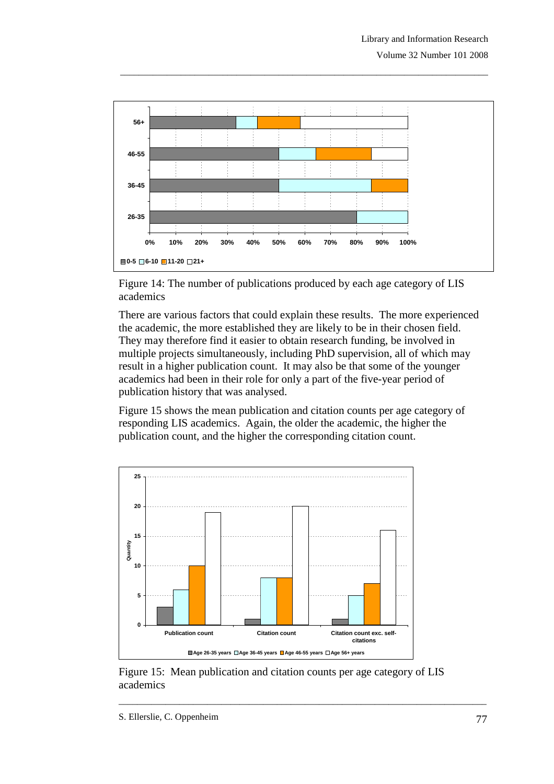

Figure 14: The number of publications produced by each age category of LIS academics

There are various factors that could explain these results. The more experienced the academic, the more established they are likely to be in their chosen field. They may therefore find it easier to obtain research funding, be involved in multiple projects simultaneously, including PhD supervision, all of which may result in a higher publication count. It may also be that some of the younger academics had been in their role for only a part of the five-year period of publication history that was analysed.

Figure 15 shows the mean publication and citation counts per age category of responding LIS academics. Again, the older the academic, the higher the publication count, and the higher the corresponding citation count.



Figure 15: Mean publication and citation counts per age category of LIS academics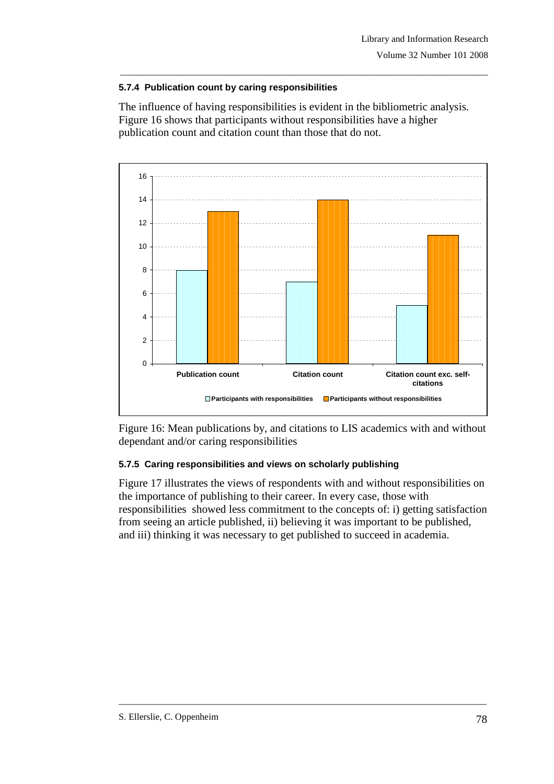## **5.7.4 Publication count by caring responsibilities**

The influence of having responsibilities is evident in the bibliometric analysis. Figure 16 shows that participants without responsibilities have a higher publication count and citation count than those that do not.

\_\_\_\_\_\_\_\_\_\_\_\_\_\_\_\_\_\_\_\_\_\_\_\_\_\_\_\_\_\_\_\_\_\_\_\_\_\_\_\_\_\_\_\_\_\_\_\_\_\_\_\_\_\_\_\_\_\_\_\_\_\_\_\_\_\_\_\_\_\_\_\_\_\_\_\_\_\_\_



Figure 16: Mean publications by, and citations to LIS academics with and without dependant and/or caring responsibilities

# **5.7.5 Caring responsibilities and views on scholarly publishing**

Figure 17 illustrates the views of respondents with and without responsibilities on the importance of publishing to their career. In every case, those with responsibilities showed less commitment to the concepts of: i) getting satisfaction from seeing an article published, ii) believing it was important to be published, and iii) thinking it was necessary to get published to succeed in academia.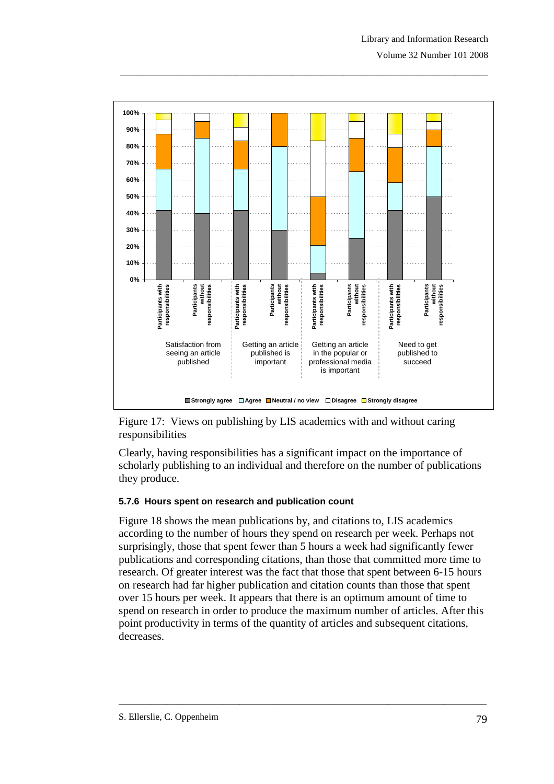

Figure 17: Views on publishing by LIS academics with and without caring responsibilities

Clearly, having responsibilities has a significant impact on the importance of scholarly publishing to an individual and therefore on the number of publications they produce.

#### **5.7.6 Hours spent on research and publication count**

Figure 18 shows the mean publications by, and citations to, LIS academics according to the number of hours they spend on research per week. Perhaps not surprisingly, those that spent fewer than 5 hours a week had significantly fewer publications and corresponding citations, than those that committed more time to research. Of greater interest was the fact that those that spent between 6-15 hours on research had far higher publication and citation counts than those that spent over 15 hours per week. It appears that there is an optimum amount of time to spend on research in order to produce the maximum number of articles. After this point productivity in terms of the quantity of articles and subsequent citations, decreases.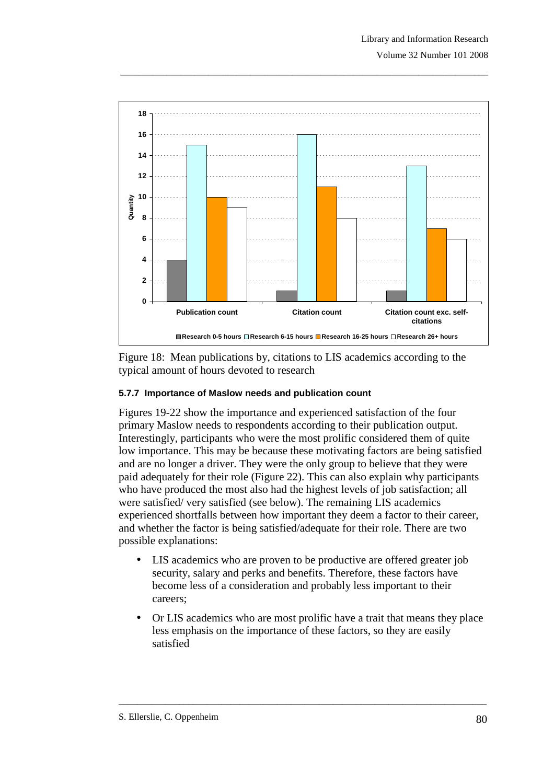

Figure 18: Mean publications by, citations to LIS academics according to the typical amount of hours devoted to research

#### **5.7.7 Importance of Maslow needs and publication count**

Figures 19-22 show the importance and experienced satisfaction of the four primary Maslow needs to respondents according to their publication output. Interestingly, participants who were the most prolific considered them of quite low importance. This may be because these motivating factors are being satisfied and are no longer a driver. They were the only group to believe that they were paid adequately for their role (Figure 22). This can also explain why participants who have produced the most also had the highest levels of job satisfaction; all were satisfied/ very satisfied (see below). The remaining LIS academics experienced shortfalls between how important they deem a factor to their career, and whether the factor is being satisfied/adequate for their role. There are two possible explanations:

- LIS academics who are proven to be productive are offered greater job security, salary and perks and benefits. Therefore, these factors have become less of a consideration and probably less important to their careers;
- Or LIS academics who are most prolific have a trait that means they place less emphasis on the importance of these factors, so they are easily satisfied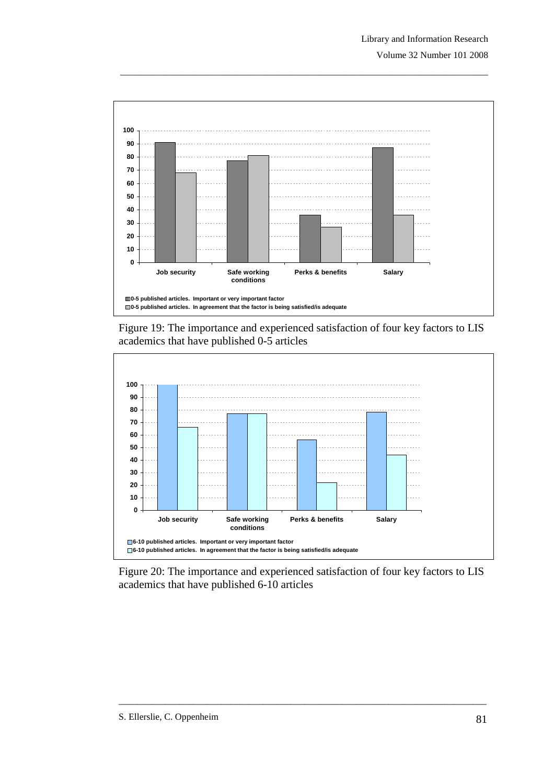

Figure 19: The importance and experienced satisfaction of four key factors to LIS academics that have published 0-5 articles



Figure 20: The importance and experienced satisfaction of four key factors to LIS academics that have published 6-10 articles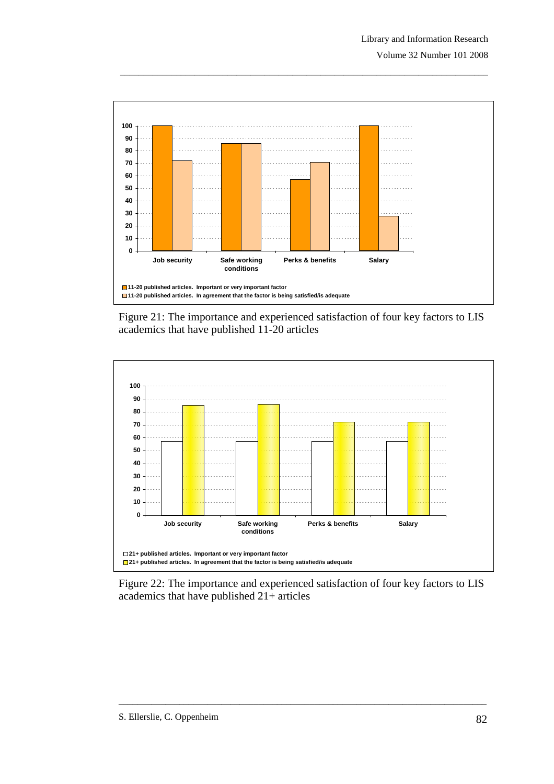

Figure 21: The importance and experienced satisfaction of four key factors to LIS academics that have published 11-20 articles



Figure 22: The importance and experienced satisfaction of four key factors to LIS academics that have published 21+ articles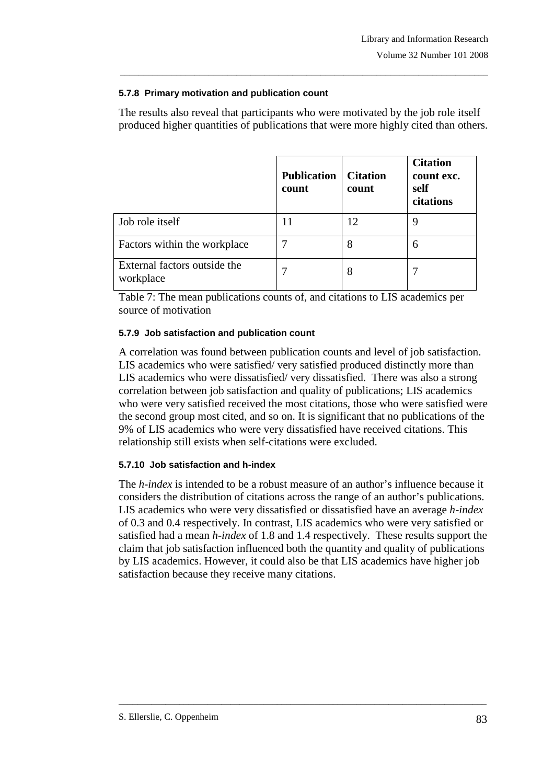## **5.7.8 Primary motivation and publication count**

The results also reveal that participants who were motivated by the job role itself produced higher quantities of publications that were more highly cited than others.

\_\_\_\_\_\_\_\_\_\_\_\_\_\_\_\_\_\_\_\_\_\_\_\_\_\_\_\_\_\_\_\_\_\_\_\_\_\_\_\_\_\_\_\_\_\_\_\_\_\_\_\_\_\_\_\_\_\_\_\_\_\_\_\_\_\_\_\_\_\_\_\_\_\_\_\_\_\_\_

|                                           | <b>Publication</b><br>count | <b>Citation</b><br>count | <b>Citation</b><br>count exc.<br>self<br>citations |
|-------------------------------------------|-----------------------------|--------------------------|----------------------------------------------------|
| Job role itself                           |                             |                          | 9                                                  |
| Factors within the workplace              |                             | 8                        | 6                                                  |
| External factors outside the<br>workplace |                             | 8                        |                                                    |

Table 7: The mean publications counts of, and citations to LIS academics per source of motivation

## **5.7.9 Job satisfaction and publication count**

A correlation was found between publication counts and level of job satisfaction. LIS academics who were satisfied/ very satisfied produced distinctly more than LIS academics who were dissatisfied/ very dissatisfied. There was also a strong correlation between job satisfaction and quality of publications; LIS academics who were very satisfied received the most citations, those who were satisfied were the second group most cited, and so on. It is significant that no publications of the 9% of LIS academics who were very dissatisfied have received citations. This relationship still exists when self-citations were excluded.

## **5.7.10 Job satisfaction and h-index**

The *h-index* is intended to be a robust measure of an author's influence because it considers the distribution of citations across the range of an author's publications. LIS academics who were very dissatisfied or dissatisfied have an average *h-index*  of 0.3 and 0.4 respectively. In contrast, LIS academics who were very satisfied or satisfied had a mean *h-index* of 1.8 and 1.4 respectively. These results support the claim that job satisfaction influenced both the quantity and quality of publications by LIS academics. However, it could also be that LIS academics have higher job satisfaction because they receive many citations.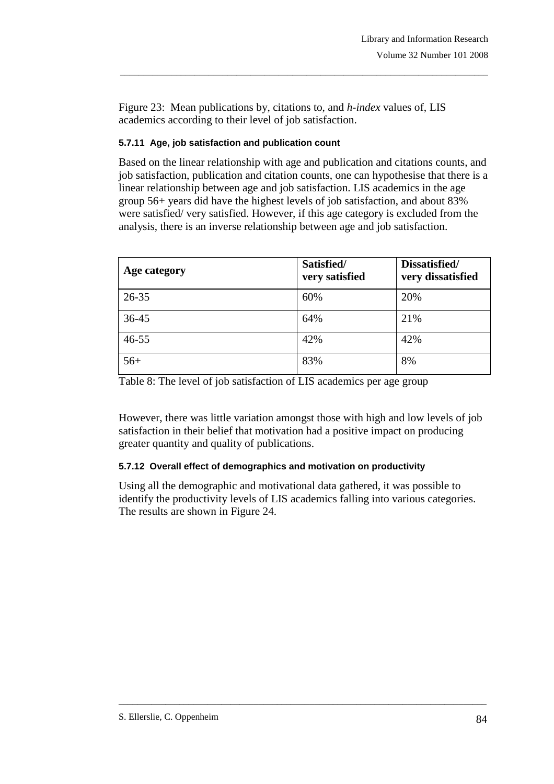Figure 23: Mean publications by, citations to, and *h-index* values of, LIS academics according to their level of job satisfaction.

#### **5.7.11 Age, job satisfaction and publication count**

Based on the linear relationship with age and publication and citations counts, and job satisfaction, publication and citation counts, one can hypothesise that there is a linear relationship between age and job satisfaction. LIS academics in the age group 56+ years did have the highest levels of job satisfaction, and about 83% were satisfied/ very satisfied. However, if this age category is excluded from the analysis, there is an inverse relationship between age and job satisfaction.

\_\_\_\_\_\_\_\_\_\_\_\_\_\_\_\_\_\_\_\_\_\_\_\_\_\_\_\_\_\_\_\_\_\_\_\_\_\_\_\_\_\_\_\_\_\_\_\_\_\_\_\_\_\_\_\_\_\_\_\_\_\_\_\_\_\_\_\_\_\_\_\_\_\_\_\_\_\_\_

| Age category | Satisfied/<br>very satisfied | Dissatisfied/<br>very dissatisfied |
|--------------|------------------------------|------------------------------------|
| $26 - 35$    | 60%                          | 20%                                |
| 36-45        | 64%                          | 21%                                |
| $46 - 55$    | 42%                          | 42%                                |
| $56+$        | 83%                          | 8%                                 |

Table 8: The level of job satisfaction of LIS academics per age group

However, there was little variation amongst those with high and low levels of job satisfaction in their belief that motivation had a positive impact on producing greater quantity and quality of publications.

## **5.7.12 Overall effect of demographics and motivation on productivity**

Using all the demographic and motivational data gathered, it was possible to identify the productivity levels of LIS academics falling into various categories. The results are shown in Figure 24.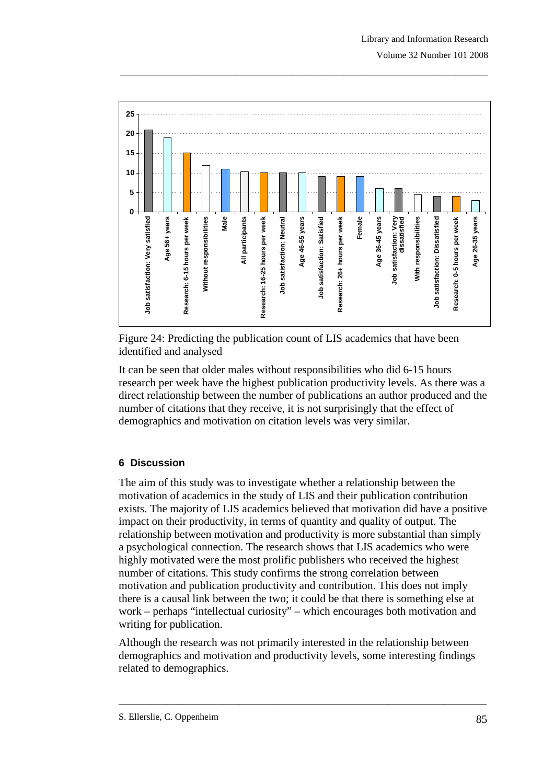

Figure 24: Predicting the publication count of LIS academics that have been identified and analysed

It can be seen that older males without responsibilities who did 6-15 hours research per week have the highest publication productivity levels. As there was a direct relationship between the number of publications an author produced and the number of citations that they receive, it is not surprisingly that the effect of demographics and motivation on citation levels was very similar.

# **6 Discussion**

The aim of this study was to investigate whether a relationship between the motivation of academics in the study of LIS and their publication contribution exists. The majority of LIS academics believed that motivation did have a positive impact on their productivity, in terms of quantity and quality of output. The relationship between motivation and productivity is more substantial than simply a psychological connection. The research shows that LIS academics who were highly motivated were the most prolific publishers who received the highest number of citations. This study confirms the strong correlation between motivation and publication productivity and contribution. This does not imply there is a causal link between the two; it could be that there is something else at work – perhaps "intellectual curiosity" – which encourages both motivation and writing for publication.

Although the research was not primarily interested in the relationship between demographics and motivation and productivity levels, some interesting findings related to demographics.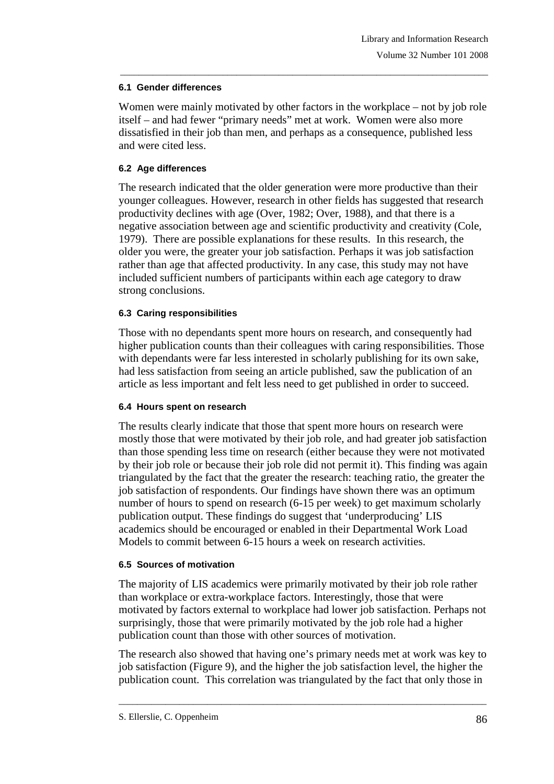#### **6.1 Gender differences**

Women were mainly motivated by other factors in the workplace – not by job role itself – and had fewer "primary needs" met at work. Women were also more dissatisfied in their job than men, and perhaps as a consequence, published less and were cited less.

\_\_\_\_\_\_\_\_\_\_\_\_\_\_\_\_\_\_\_\_\_\_\_\_\_\_\_\_\_\_\_\_\_\_\_\_\_\_\_\_\_\_\_\_\_\_\_\_\_\_\_\_\_\_\_\_\_\_\_\_\_\_\_\_\_\_\_\_\_\_\_\_\_\_\_\_\_\_\_

## **6.2 Age differences**

The research indicated that the older generation were more productive than their younger colleagues. However, research in other fields has suggested that research productivity declines with age (Over, 1982; Over, 1988), and that there is a negative association between age and scientific productivity and creativity (Cole, 1979). There are possible explanations for these results. In this research, the older you were, the greater your job satisfaction. Perhaps it was job satisfaction rather than age that affected productivity. In any case, this study may not have included sufficient numbers of participants within each age category to draw strong conclusions.

## **6.3 Caring responsibilities**

Those with no dependants spent more hours on research, and consequently had higher publication counts than their colleagues with caring responsibilities. Those with dependants were far less interested in scholarly publishing for its own sake, had less satisfaction from seeing an article published, saw the publication of an article as less important and felt less need to get published in order to succeed.

## **6.4 Hours spent on research**

The results clearly indicate that those that spent more hours on research were mostly those that were motivated by their job role, and had greater job satisfaction than those spending less time on research (either because they were not motivated by their job role or because their job role did not permit it). This finding was again triangulated by the fact that the greater the research: teaching ratio, the greater the job satisfaction of respondents. Our findings have shown there was an optimum number of hours to spend on research (6-15 per week) to get maximum scholarly publication output. These findings do suggest that 'underproducing' LIS academics should be encouraged or enabled in their Departmental Work Load Models to commit between 6-15 hours a week on research activities.

## **6.5 Sources of motivation**

The majority of LIS academics were primarily motivated by their job role rather than workplace or extra-workplace factors. Interestingly, those that were motivated by factors external to workplace had lower job satisfaction. Perhaps not surprisingly, those that were primarily motivated by the job role had a higher publication count than those with other sources of motivation.

The research also showed that having one's primary needs met at work was key to job satisfaction (Figure 9), and the higher the job satisfaction level, the higher the publication count. This correlation was triangulated by the fact that only those in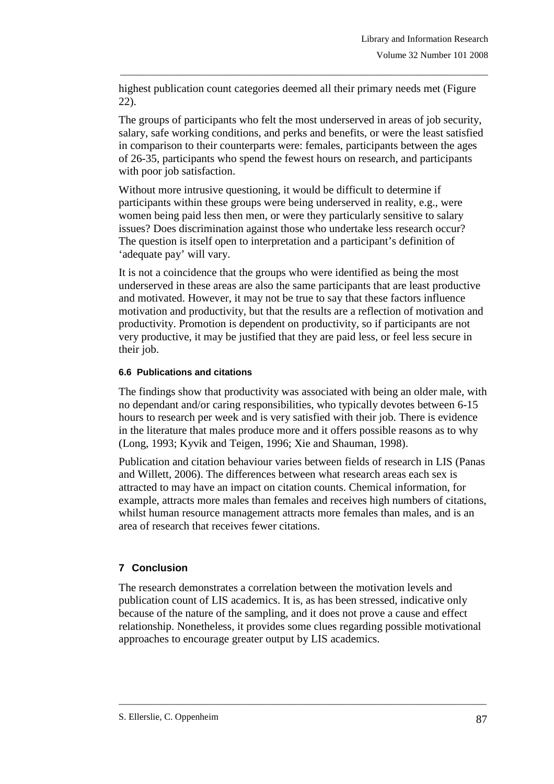highest publication count categories deemed all their primary needs met (Figure 22).

\_\_\_\_\_\_\_\_\_\_\_\_\_\_\_\_\_\_\_\_\_\_\_\_\_\_\_\_\_\_\_\_\_\_\_\_\_\_\_\_\_\_\_\_\_\_\_\_\_\_\_\_\_\_\_\_\_\_\_\_\_\_\_\_\_\_\_\_\_\_\_\_\_\_\_\_\_\_\_

The groups of participants who felt the most underserved in areas of job security, salary, safe working conditions, and perks and benefits, or were the least satisfied in comparison to their counterparts were: females, participants between the ages of 26-35, participants who spend the fewest hours on research, and participants with poor job satisfaction.

Without more intrusive questioning, it would be difficult to determine if participants within these groups were being underserved in reality, e.g., were women being paid less then men, or were they particularly sensitive to salary issues? Does discrimination against those who undertake less research occur? The question is itself open to interpretation and a participant's definition of 'adequate pay' will vary.

It is not a coincidence that the groups who were identified as being the most underserved in these areas are also the same participants that are least productive and motivated. However, it may not be true to say that these factors influence motivation and productivity, but that the results are a reflection of motivation and productivity. Promotion is dependent on productivity, so if participants are not very productive, it may be justified that they are paid less, or feel less secure in their job.

#### **6.6 Publications and citations**

The findings show that productivity was associated with being an older male, with no dependant and/or caring responsibilities, who typically devotes between 6-15 hours to research per week and is very satisfied with their job. There is evidence in the literature that males produce more and it offers possible reasons as to why (Long, 1993; Kyvik and Teigen, 1996; Xie and Shauman, 1998).

Publication and citation behaviour varies between fields of research in LIS (Panas and Willett, 2006). The differences between what research areas each sex is attracted to may have an impact on citation counts. Chemical information, for example, attracts more males than females and receives high numbers of citations, whilst human resource management attracts more females than males, and is an area of research that receives fewer citations.

## **7 Conclusion**

The research demonstrates a correlation between the motivation levels and publication count of LIS academics. It is, as has been stressed, indicative only because of the nature of the sampling, and it does not prove a cause and effect relationship. Nonetheless, it provides some clues regarding possible motivational approaches to encourage greater output by LIS academics.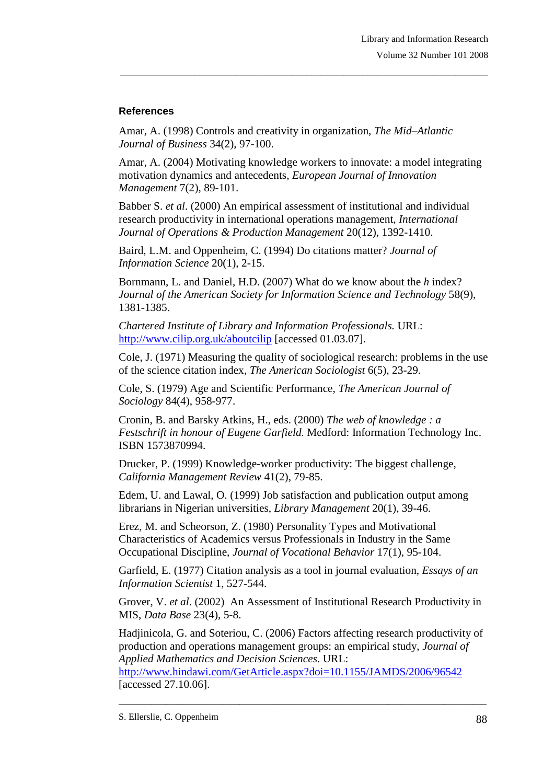## **References**

Amar, A. (1998) Controls and creativity in organization, *The Mid–Atlantic Journal of Business* 34(2), 97-100.

Amar, A. (2004) Motivating knowledge workers to innovate: a model integrating motivation dynamics and antecedents, *European Journal of Innovation Management* 7(2), 89-101.

\_\_\_\_\_\_\_\_\_\_\_\_\_\_\_\_\_\_\_\_\_\_\_\_\_\_\_\_\_\_\_\_\_\_\_\_\_\_\_\_\_\_\_\_\_\_\_\_\_\_\_\_\_\_\_\_\_\_\_\_\_\_\_\_\_\_\_\_\_\_\_\_\_\_\_\_\_\_\_

Babber S. *et al*. (2000) An empirical assessment of institutional and individual research productivity in international operations management, *International Journal of Operations & Production Management* 20(12), 1392-1410.

Baird, L.M. and Oppenheim, C. (1994) Do citations matter? *Journal of Information Science* 20(1), 2-15.

Bornmann, L. and Daniel, H.D. (2007) What do we know about the *h* index? *Journal of the American Society for Information Science and Technology* 58(9), 1381-1385.

*Chartered Institute of Library and Information Professionals.* URL: http://www.cilip.org.uk/aboutcilip [accessed 01.03.07].

Cole, J. (1971) Measuring the quality of sociological research: problems in the use of the science citation index, *The American Sociologist* 6(5), 23-29.

Cole, S. (1979) Age and Scientific Performance, *The American Journal of Sociology* 84(4), 958-977.

Cronin, B. and Barsky Atkins, H., eds. (2000) *The web of knowledge : a Festschrift in honour of Eugene Garfield.* Medford: Information Technology Inc. ISBN 1573870994.

Drucker, P. (1999) Knowledge-worker productivity: The biggest challenge, *California Management Review* 41(2), 79-85.

Edem, U. and Lawal, O. (1999) Job satisfaction and publication output among librarians in Nigerian universities, *Library Management* 20(1), 39-46.

Erez, M. and Scheorson, Z. (1980) Personality Types and Motivational Characteristics of Academics versus Professionals in Industry in the Same Occupational Discipline, *Journal of Vocational Behavior* 17(1), 95-104.

Garfield, E. (1977) Citation analysis as a tool in journal evaluation, *Essays of an Information Scientist* 1, 527-544.

Grover, V. *et al*. (2002) An Assessment of Institutional Research Productivity in MIS, *Data Base* 23(4), 5-8.

Hadjinicola, G. and Soteriou, C. (2006) Factors affecting research productivity of production and operations management groups: an empirical study, *Journal of Applied Mathematics and Decision Sciences*. URL:

\_\_\_\_\_\_\_\_\_\_\_\_\_\_\_\_\_\_\_\_\_\_\_\_\_\_\_\_\_\_\_\_\_\_\_\_\_\_\_\_\_\_\_\_\_\_\_\_\_\_\_\_\_\_\_\_\_\_\_\_\_\_\_\_\_\_\_\_\_\_\_\_\_\_\_\_\_\_\_

http://www.hindawi.com/GetArticle.aspx?doi=10.1155/JAMDS/2006/96542 [accessed 27.10.06].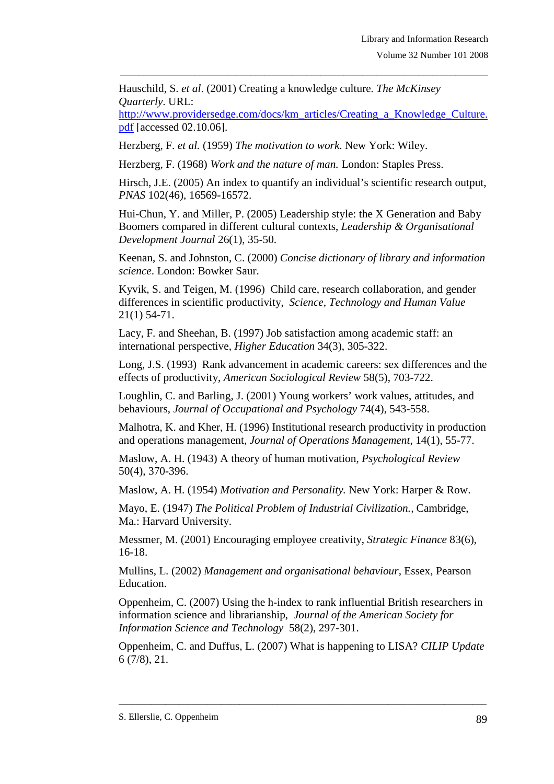Hauschild, S. *et al*. (2001) Creating a knowledge culture. *The McKinsey Quarterly*. URL:

http://www.providersedge.com/docs/km\_articles/Creating\_a\_Knowledge\_Culture. pdf [accessed 02.10.06].

\_\_\_\_\_\_\_\_\_\_\_\_\_\_\_\_\_\_\_\_\_\_\_\_\_\_\_\_\_\_\_\_\_\_\_\_\_\_\_\_\_\_\_\_\_\_\_\_\_\_\_\_\_\_\_\_\_\_\_\_\_\_\_\_\_\_\_\_\_\_\_\_\_\_\_\_\_\_\_

Herzberg, F. *et al.* (1959) *The motivation to work*. New York: Wiley.

Herzberg, F. (1968) *Work and the nature of man.* London: Staples Press.

Hirsch, J.E. (2005) An index to quantify an individual's scientific research output, *PNAS* 102(46), 16569-16572.

Hui-Chun, Y. and Miller, P. (2005) Leadership style: the X Generation and Baby Boomers compared in different cultural contexts, *Leadership & Organisational Development Journal* 26(1), 35-50.

Keenan, S. and Johnston, C. (2000) *Concise dictionary of library and information science*. London: Bowker Saur.

Kyvik, S. and Teigen, M. (1996) Child care, research collaboration, and gender differences in scientific productivity, *Science, Technology and Human Value* 21(1) 54-71.

Lacy, F. and Sheehan, B. (1997) Job satisfaction among academic staff: an international perspective, *Higher Education* 34(3), 305-322.

Long, J.S. (1993) Rank advancement in academic careers: sex differences and the effects of productivity, *American Sociological Review* 58(5), 703-722.

Loughlin, C. and Barling, J. (2001) Young workers' work values, attitudes, and behaviours, *Journal of Occupational and Psychology* 74(4), 543-558.

Malhotra, K. and Kher, H. (1996) Institutional research productivity in production and operations management, *Journal of Operations Management*, 14(1), 55-77.

Maslow, A. H. (1943) A theory of human motivation, *Psychological Review*  50(4), 370-396.

Maslow, A. H. (1954) *Motivation and Personality.* New York: Harper & Row.

Mayo, E. (1947) *The Political Problem of Industrial Civilization.,* Cambridge, Ma.: Harvard University.

Messmer, M. (2001) Encouraging employee creativity, *Strategic Finance* 83(6), 16-18.

Mullins, L. (2002) *Management and organisational behaviour,* Essex, Pearson Education.

Oppenheim, C. (2007) Using the h-index to rank influential British researchers in information science and librarianship, *Journal of the American Society for Information Science and Technology* 58(2), 297-301.

Oppenheim, C. and Duffus, L. (2007) What is happening to LISA? *CILIP Update* 6 (7/8), 21.